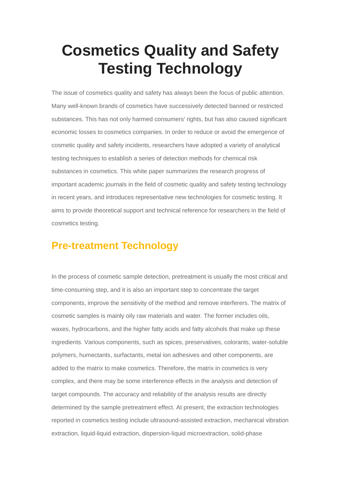# **Cosmetics Quality and Safety Testing Technology**

The issue of cosmetics quality and safety has always been the focus of public attention. Many well-known brands of cosmetics have successively detected banned or restricted substances. This has not only harmed consumers' rights, but has also caused significant economic losses to cosmetics companies. In order to reduce or avoid the emergence of cosmetic quality and safety incidents, researchers have adopted a variety of analytical testing techniques to establish a series of detection methods for chemical risk substances in cosmetics. This white paper summarizes the research progress of important academic journals in the field of cosmetic quality and safety testing technology in recent years, and introduces representative new technologies for cosmetic testing. It aims to provide theoretical support and technical reference for researchers in the field of cosmetics testing.

### **Pre-treatment Technology**

In the process of cosmetic sample detection, pretreatment is usually the most critical and time-consuming step, and it is also an important step to concentrate the target components, improve the sensitivity of the method and remove interferers. The matrix of cosmetic samples is mainly oily raw materials and water. The former includes oils, waxes, hydrocarbons, and the higher fatty acids and fatty alcohols that make up these ingredients. Various components, such as spices, preservatives, colorants, water-soluble polymers, humectants, surfactants, metal ion adhesives and other components, are added to the matrix to make cosmetics. Therefore, the matrix in cosmetics is very complex, and there may be some interference effects in the analysis and detection of target compounds. The accuracy and reliability of the analysis results are directly determined by the sample pretreatment effect. At present, the extraction technologies reported in cosmetics testing include ultrasound-assisted extraction, mechanical vibration extraction, liquid-liquid extraction, dispersion-liquid microextraction, solid-phase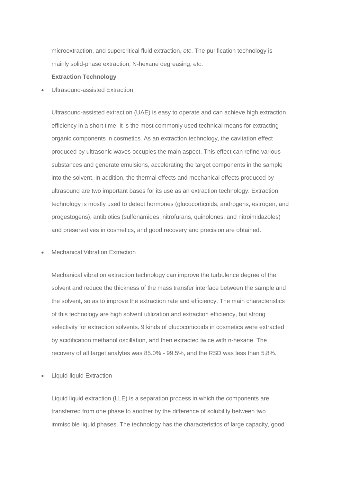microextraction, and supercritical fluid extraction, *etc*. The purification technology is mainly solid-phase extraction, N-hexane degreasing, *etc*.

#### **Extraction Technology**

Ultrasound-assisted Extraction

Ultrasound-assisted extraction (UAE) is easy to operate and can achieve high extraction efficiency in a short time. It is the most commonly used technical means for extracting organic components in cosmetics. As an extraction technology, the cavitation effect produced by ultrasonic waves occupies the main aspect. This effect can refine various substances and generate emulsions, accelerating the target components in the sample into the solvent. In addition, the thermal effects and mechanical effects produced by ultrasound are two important bases for its use as an extraction technology. Extraction technology is mostly used to detect hormones (glucocorticoids, androgens, estrogen, and progestogens), antibiotics (sulfonamides, nitrofurans, quinolones, and nitroimidazoles) and preservatives in cosmetics, and good recovery and precision are obtained.

Mechanical Vibration Extraction

Mechanical vibration extraction technology can improve the turbulence degree of the solvent and reduce the thickness of the mass transfer interface between the sample and the solvent, so as to improve the extraction rate and efficiency. The main characteristics of this technology are high solvent utilization and extraction efficiency, but strong selectivity for extraction solvents. 9 kinds of glucocorticoids in cosmetics were extracted by acidification methanol oscillation, and then extracted twice with n-hexane. The recovery of all target analytes was 85.0% - 99.5%, and the RSD was less than 5.8%.

Liquid-liquid Extraction

Liquid liquid extraction (LLE) is a separation process in which the components are transferred from one phase to another by the difference of solubility between two immiscible liquid phases. The technology has the characteristics of large capacity, good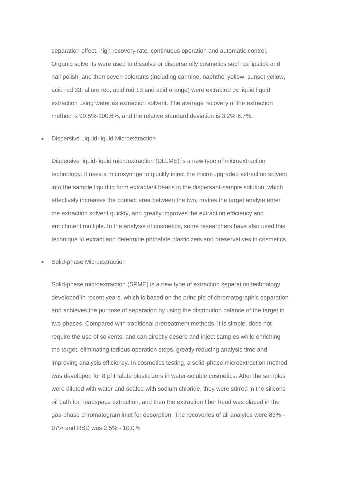separation effect, high recovery rate, continuous operation and automatic control. Organic solvents were used to dissolve or disperse oily cosmetics such as lipstick and nail polish, and then seven colorants (including carmine, naphthol yellow, sunset yellow, acid red 33, allure red, acid red 13 and acid orange) were extracted by liquid liquid extraction using water as extraction solvent. The average recovery of the extraction method is 90.5%-100.6%, and the relative standard deviation is 3.2%-6.7%.

Dispersive Liquid-liquid Microextraction

Dispersive liquid-liquid microextraction (DLLME) is a new type of microextraction technology. It uses a microsyringe to quickly inject the micro-upgraded extraction solvent into the sample liquid to form extractant beads in the dispersant-sample solution, which effectively increases the contact area between the two, makes the target analyte enter the extraction solvent quickly, and greatly improves the extraction efficiency and enrichment multiple. In the analysis of cosmetics, some researchers have also used this technique to extract and determine phthalate plasticizers and preservatives in cosmetics.

Solid-phase Microextraction

Solid-phase microextraction (SPME) is a new type of extraction separation technology developed in recent years, which is based on the principle of chromatographic separation and achieves the purpose of separation by using the distribution balance of the target in two phases. Compared with traditional pretreatment methods, it is simple, does not require the use of solvents, and can directly desorb and inject samples while enriching the target, eliminating tedious operation steps, greatly reducing analysis time and improving analysis efficiency. In cosmetics testing, a solid-phase microextraction method was developed for 8 phthalate plasticizers in water-soluble cosmetics. After the samples were diluted with water and sealed with sodium chloride, they were stirred in the silicone oil bath for headspace extraction, and then the extraction fiber head was placed in the gas-phase chromatogram inlet for desorption. The recoveries of all analytes were 83% - 97% and RSD was 2.5% - 10.0%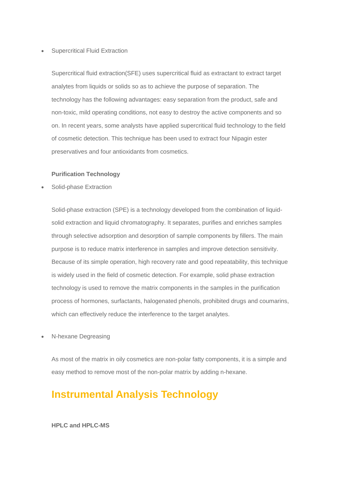#### Supercritical Fluid Extraction

Supercritical fluid extraction(SFE) uses supercritical fluid as extractant to extract target analytes from liquids or solids so as to achieve the purpose of separation. The technology has the following advantages: easy separation from the product, safe and non-toxic, mild operating conditions, not easy to destroy the active components and so on. In recent years, some analysts have applied supercritical fluid technology to the field of cosmetic detection. This technique has been used to extract four Nipagin ester preservatives and four antioxidants from cosmetics.

#### **Purification Technology**

Solid-phase Extraction

Solid-phase extraction (SPE) is a technology developed from the combination of liquidsolid extraction and liquid chromatography. It separates, purifies and enriches samples through selective adsorption and desorption of sample components by fillers. The main purpose is to reduce matrix interference in samples and improve detection sensitivity. Because of its simple operation, high recovery rate and good repeatability, this technique is widely used in the field of cosmetic detection. For example, solid phase extraction technology is used to remove the matrix components in the samples in the purification process of hormones, surfactants, halogenated phenols, prohibited drugs and coumarins, which can effectively reduce the interference to the target analytes.

N-hexane Degreasing

As most of the matrix in oily cosmetics are non-polar fatty components, it is a simple and easy method to remove most of the non-polar matrix by adding n-hexane.

## **Instrumental Analysis Technology**

**HPLC and HPLC-MS**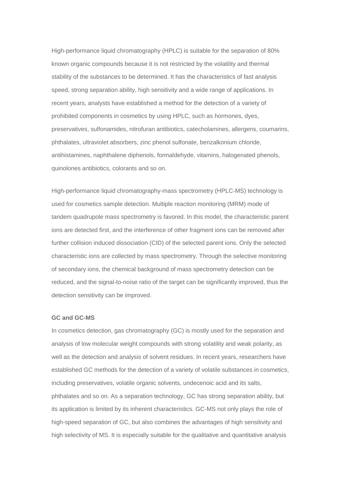High-performance liquid chromatography (HPLC) is suitable for the separation of 80% known organic compounds because it is not restricted by the volatility and thermal stability of the substances to be determined. It has the characteristics of fast analysis speed, strong separation ability, high sensitivity and a wide range of applications. In recent years, analysts have established a method for the detection of a variety of prohibited components in cosmetics by using HPLC, such as hormones, dyes, preservatives, sulfonamides, nitrofuran antibiotics, catecholamines, allergens, coumarins, phthalates, ultraviolet absorbers, zinc phenol sulfonate, benzalkonium chloride, antihistamines, naphthalene diphenols, formaldehyde, vitamins, halogenated phenols, quinolones antibiotics, colorants and so on.

High-performance liquid chromatography-mass spectrometry (HPLC-MS) technology is used for cosmetics sample detection. Multiple reaction monitoring (MRM) mode of tandem quadrupole mass spectrometry is favored. In this model, the characteristic parent ions are detected first, and the interference of other fragment ions can be removed after further collision induced dissociation (CID) of the selected parent ions. Only the selected characteristic ions are collected by mass spectrometry. Through the selective monitoring of secondary ions, the chemical background of mass spectrometry detection can be reduced, and the signal-to-noise ratio of the target can be significantly improved, thus the detection sensitivity can be improved.

#### **GC and GC-MS**

In cosmetics detection, gas chromatography (GC) is mostly used for the separation and analysis of low molecular weight compounds with strong volatility and weak polarity, as well as the detection and analysis of solvent residues. In recent years, researchers have established GC methods for the detection of a variety of volatile substances in cosmetics, including preservatives, volatile organic solvents, undecenoic acid and its salts, phthalates and so on. As a separation technology, GC has strong separation ability, but its application is limited by its inherent characteristics. GC-MS not only plays the role of high-speed separation of GC, but also combines the advantages of high sensitivity and high selectivity of MS. It is especially suitable for the qualitative and quantitative analysis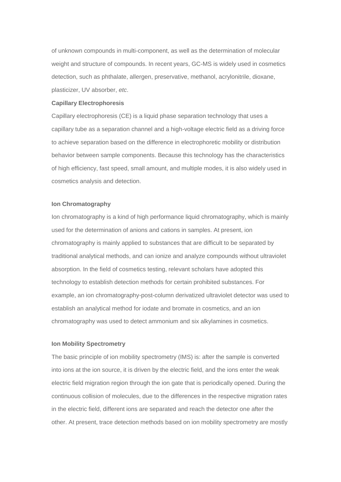of unknown compounds in multi-component, as well as the determination of molecular weight and structure of compounds. In recent years, GC-MS is widely used in cosmetics detection, such as phthalate, allergen, preservative, methanol, acrylonitrile, dioxane, plasticizer, UV absorber, *etc*.

#### **Capillary Electrophoresis**

Capillary electrophoresis (CE) is a liquid phase separation technology that uses a capillary tube as a separation channel and a high-voltage electric field as a driving force to achieve separation based on the difference in electrophoretic mobility or distribution behavior between sample components. Because this technology has the characteristics of high efficiency, fast speed, small amount, and multiple modes, it is also widely used in cosmetics analysis and detection.

#### **Ion Chromatography**

Ion chromatography is a kind of high performance liquid chromatography, which is mainly used for the determination of anions and cations in samples. At present, ion chromatography is mainly applied to substances that are difficult to be separated by traditional analytical methods, and can ionize and analyze compounds without ultraviolet absorption. In the field of cosmetics testing, relevant scholars have adopted this technology to establish detection methods for certain prohibited substances. For example, an ion chromatography-post-column derivatized ultraviolet detector was used to establish an analytical method for iodate and bromate in cosmetics, and an ion chromatography was used to detect ammonium and six alkylamines in cosmetics.

#### **Ion Mobility Spectrometry**

The basic principle of ion mobility spectrometry (IMS) is: after the sample is converted into ions at the ion source, it is driven by the electric field, and the ions enter the weak electric field migration region through the ion gate that is periodically opened. During the continuous collision of molecules, due to the differences in the respective migration rates in the electric field, different ions are separated and reach the detector one after the other. At present, trace detection methods based on ion mobility spectrometry are mostly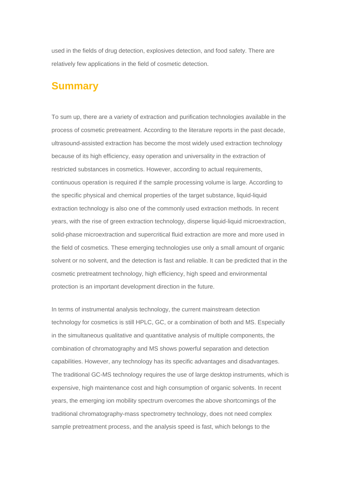used in the fields of drug detection, explosives detection, and food safety. There are relatively few applications in the field of cosmetic detection.

### **Summary**

To sum up, there are a variety of extraction and purification technologies available in the process of cosmetic pretreatment. According to the literature reports in the past decade, ultrasound-assisted extraction has become the most widely used extraction technology because of its high efficiency, easy operation and universality in the extraction of restricted substances in cosmetics. However, according to actual requirements, continuous operation is required if the sample processing volume is large. According to the specific physical and chemical properties of the target substance, liquid-liquid extraction technology is also one of the commonly used extraction methods. In recent years, with the rise of green extraction technology, disperse liquid-liquid microextraction, solid-phase microextraction and supercritical fluid extraction are more and more used in the field of cosmetics. These emerging technologies use only a small amount of organic solvent or no solvent, and the detection is fast and reliable. It can be predicted that in the cosmetic pretreatment technology, high efficiency, high speed and environmental protection is an important development direction in the future.

In terms of instrumental analysis technology, the current mainstream detection technology for cosmetics is still HPLC, GC, or a combination of both and MS. Especially in the simultaneous qualitative and quantitative analysis of multiple components, the combination of chromatography and MS shows powerful separation and detection capabilities. However, any technology has its specific advantages and disadvantages. The traditional GC-MS technology requires the use of large desktop instruments, which is expensive, high maintenance cost and high consumption of organic solvents. In recent years, the emerging ion mobility spectrum overcomes the above shortcomings of the traditional chromatography-mass spectrometry technology, does not need complex sample pretreatment process, and the analysis speed is fast, which belongs to the